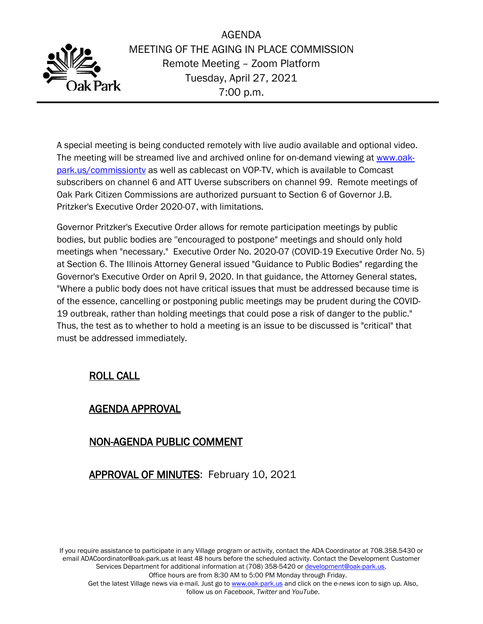

AGENDA MEETING OF THE AGING IN PLACE COMMISSION Remote Meeting – Zoom Platform Tuesday, April 27, 2021 7:00 p.m.

A special meeting is being conducted remotely with live audio available and optional video. The meeting will be streamed live and archived online for on-demand viewing at [www.oak](http://www.oak-park.us/commissiontv)[park.us/commissiontv](http://www.oak-park.us/commissiontv) as well as cablecast on VOP-TV, which is available to Comcast subscribers on channel 6 and ATT Uverse subscribers on channel 99. Remote meetings of Oak Park Citizen Commissions are authorized pursuant to Section 6 of Governor J.B. Pritzker's Executive Order 2020-07, with limitations.

Governor Pritzker's Executive Order allows for remote participation meetings by public bodies, but public bodies are ''encouraged to postpone" meetings and should only hold meetings when "necessary." Executive Order No. 2020-07 (COVID-19 Executive Order No. 5) at Section 6. The Illinois Attorney General issued "Guidance to Public Bodies" regarding the Governor's Executive Order on April 9, 2020. In that guidance, the Attorney General states, "Where a public body does not have critical issues that must be addressed because time is of the essence, cancelling or postponing public meetings may be prudent during the COVID-19 outbreak, rather than holding meetings that could pose a risk of danger to the public." Thus, the test as to whether to hold a meeting is an issue to be discussed is "critical" that must be addressed immediately.

# ROLL CALL

### AGENDA APPROVAL

# NON-AGENDA PUBLIC COMMENT

# APPROVAL OF MINUTES: February 10, 2021

If you require assistance to participate in any Village program or activity, contact the ADA Coordinator at 708.358.5430 or email ADACoordinator@oak-park.us at least 48 hours before the scheduled activity. Contact the Development Customer Services Department for additional information at (708) 358-5420 or [development@oak-park.us.](mailto:development@oak-park.us) Office hours are from 8:30 AM to 5:00 PM Monday through Friday.

Get the latest Village news via e-mail. Just go to [www.oak-park.us](http://www.oak-park.us/) and click on the *e-news* icon to sign up. Also, follow us on *Facebook*, *Twitter* and *YouTube*.